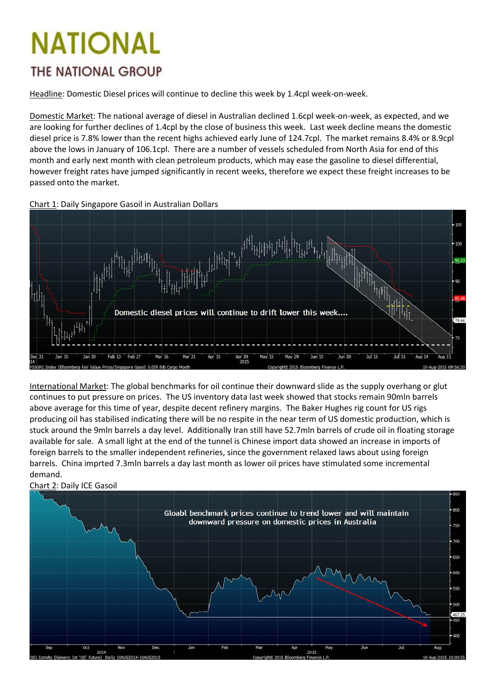## **NATIONAL** *THE NATIONAL GROUP*

Headline: Domestic Diesel prices will continue to decline this week by 1.4cpl week-on-week.

Domestic Market: The national average of diesel in Australian declined 1.6cpl week-on-week, as expected, and we are looking for further declines of 1.4cpl by the close of business this week. Last week decline means the domestic diesel price is 7.8% lower than the recent highs achieved early June of 124.7cpl. The market remains 8.4% or 8.9cpl above the lows in January of 106.1cpl. There are a number of vessels scheduled from North Asia for end of this month and early next month with clean petroleum products, which may ease the gasoline to diesel differential, however freight rates have jumped significantly in recent weeks, therefore we expect these freight increases to be passed onto the market.





International Market: The global benchmarks for oil continue their downward slide as the supply overhang or glut continues to put pressure on prices. The US inventory data last week showed that stocks remain 90mln barrels above average for this time of year, despite decent refinery margins. The Baker Hughes rig count for US rigs producing oil has stabilised indicating there will be no respite in the near term of US domestic production, which is stuck around the 9mln barrels a day level. Additionally Iran still have 52.7mln barrels of crude oil in floating storage available for sale. A small light at the end of the tunnel is Chinese import data showed an increase in imports of foreign barrels to the smaller independent refineries, since the government relaxed laws about using foreign barrels. China imprted 7.3mln barrels a day last month as lower oil prices have stimulated some incremental demand.